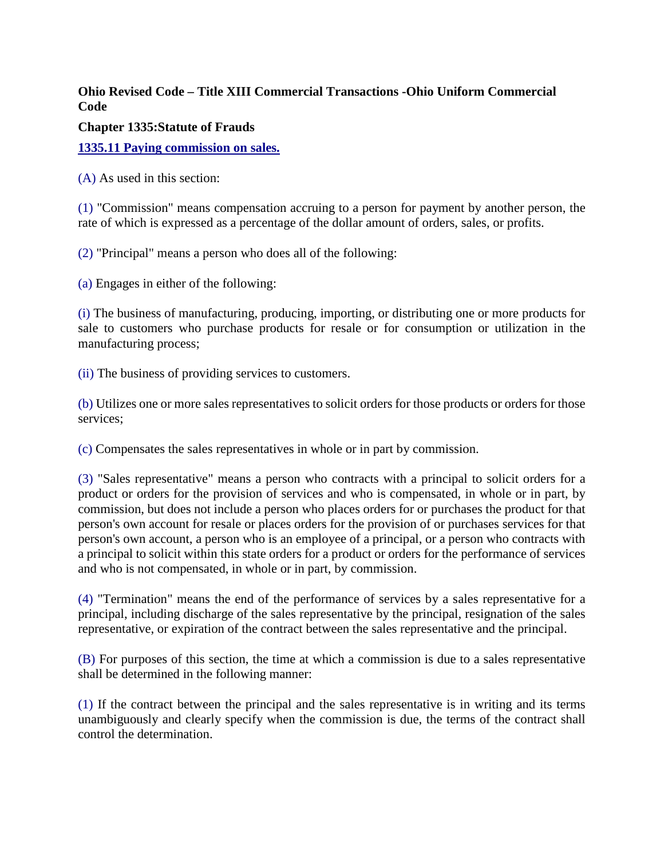## **Ohio Revised Code – Title XIII Commercial Transactions -Ohio Uniform Commercial Code**

**Chapter 1335:Statute of Frauds**

**1335.11 Paying commission on sales.**

(A) As used in this section:

(1) "Commission" means compensation accruing to a person for payment by another person, the rate of which is expressed as a percentage of the dollar amount of orders, sales, or profits.

(2) "Principal" means a person who does all of the following:

(a) Engages in either of the following:

(i) The business of manufacturing, producing, importing, or distributing one or more products for sale to customers who purchase products for resale or for consumption or utilization in the manufacturing process;

(ii) The business of providing services to customers.

(b) Utilizes one or more sales representatives to solicit orders for those products or orders for those services;

(c) Compensates the sales representatives in whole or in part by commission.

(3) "Sales representative" means a person who contracts with a principal to solicit orders for a product or orders for the provision of services and who is compensated, in whole or in part, by commission, but does not include a person who places orders for or purchases the product for that person's own account for resale or places orders for the provision of or purchases services for that person's own account, a person who is an employee of a principal, or a person who contracts with a principal to solicit within this state orders for a product or orders for the performance of services and who is not compensated, in whole or in part, by commission.

(4) "Termination" means the end of the performance of services by a sales representative for a principal, including discharge of the sales representative by the principal, resignation of the sales representative, or expiration of the contract between the sales representative and the principal.

(B) For purposes of this section, the time at which a commission is due to a sales representative shall be determined in the following manner:

(1) If the contract between the principal and the sales representative is in writing and its terms unambiguously and clearly specify when the commission is due, the terms of the contract shall control the determination.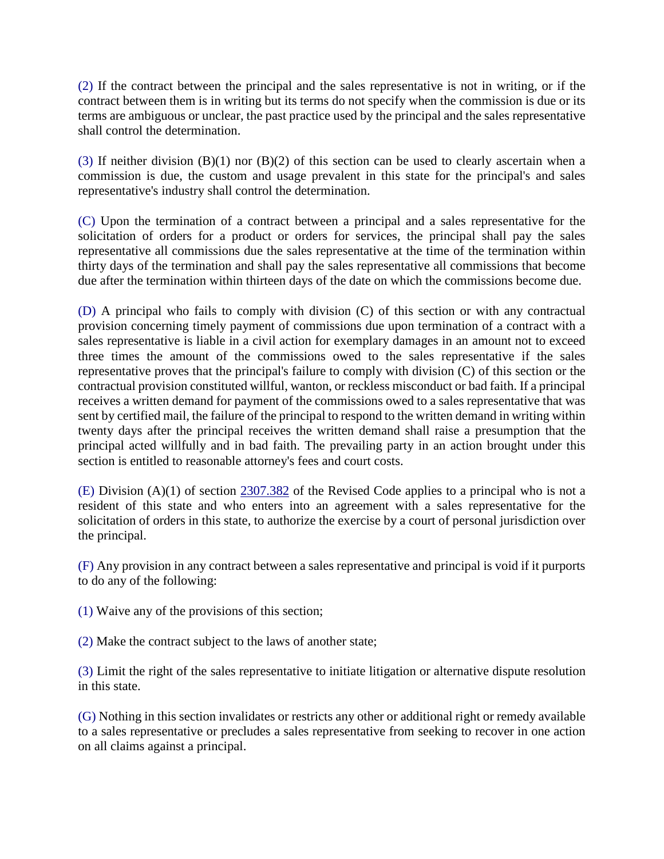(2) If the contract between the principal and the sales representative is not in writing, or if the contract between them is in writing but its terms do not specify when the commission is due or its terms are ambiguous or unclear, the past practice used by the principal and the sales representative shall control the determination.

(3) If neither division  $(B)(1)$  nor  $(B)(2)$  of this section can be used to clearly ascertain when a commission is due, the custom and usage prevalent in this state for the principal's and sales representative's industry shall control the determination.

(C) Upon the termination of a contract between a principal and a sales representative for the solicitation of orders for a product or orders for services, the principal shall pay the sales representative all commissions due the sales representative at the time of the termination within thirty days of the termination and shall pay the sales representative all commissions that become due after the termination within thirteen days of the date on which the commissions become due.

(D) A principal who fails to comply with division (C) of this section or with any contractual provision concerning timely payment of commissions due upon termination of a contract with a sales representative is liable in a civil action for exemplary damages in an amount not to exceed three times the amount of the commissions owed to the sales representative if the sales representative proves that the principal's failure to comply with division (C) of this section or the contractual provision constituted willful, wanton, or reckless misconduct or bad faith. If a principal receives a written demand for payment of the commissions owed to a sales representative that was sent by certified mail, the failure of the principal to respond to the written demand in writing within twenty days after the principal receives the written demand shall raise a presumption that the principal acted willfully and in bad faith. The prevailing party in an action brought under this section is entitled to reasonable attorney's fees and court costs.

(E) Division (A)(1) of section 2307.382 of the Revised Code applies to a principal who is not a resident of this state and who enters into an agreement with a sales representative for the solicitation of orders in this state, to authorize the exercise by a court of personal jurisdiction over the principal.

(F) Any provision in any contract between a sales representative and principal is void if it purports to do any of the following:

(1) Waive any of the provisions of this section;

(2) Make the contract subject to the laws of another state;

(3) Limit the right of the sales representative to initiate litigation or alternative dispute resolution in this state.

(G) Nothing in this section invalidates or restricts any other or additional right or remedy available to a sales representative or precludes a sales representative from seeking to recover in one action on all claims against a principal.